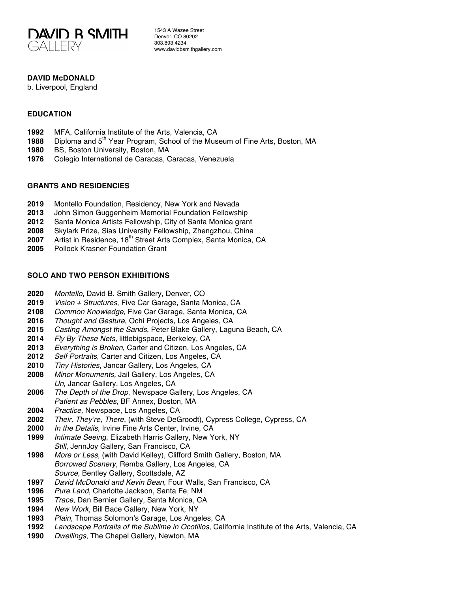

1543 A Wazee Street Denver, CO 80202 303.893.4234 www.davidbsmithgallery.com

## **DAVID McDONALD**

b. Liverpool, England

### **EDUCATION**

- MFA, California Institute of the Arts, Valencia, CA
- **1988** Diploma and 5<sup>th</sup> Year Program, School of the Museum of Fine Arts, Boston, MA
- BS, Boston University, Boston, MA
- Colegio International de Caracas, Caracas, Venezuela

#### **GRANTS AND RESIDENCIES**

- Montello Foundation, Residency, New York and Nevada
- John Simon Guggenheim Memorial Foundation Fellowship
- Santa Monica Artists Fellowship, City of Santa Monica grant
- Skylark Prize, Sias University Fellowship, Zhengzhou, China
- **2007** Artist in Residence, 18<sup>th</sup> Street Arts Complex, Santa Monica, CA
- Pollock Krasner Foundation Grant

## **SOLO AND TWO PERSON EXHIBITIONS**

- *Montello*, David B. Smith Gallery, Denver, CO
- *Vision + Structures*, Five Car Garage, Santa Monica, CA
- *Common Knowledge,* Five Car Garage, Santa Monica, CA
- *Thought and Gesture*, Ochi Projects, Los Angeles, CA
- *Casting Amongst the Sands*, Peter Blake Gallery, Laguna Beach, CA
- *Fly By These Nets,* littlebigspace, Berkeley, CA
- *Everything is Broken*, Carter and Citizen, Los Angeles, CA
- *Self Portraits*, Carter and Citizen, Los Angeles, CA
- *Tiny Histories*, Jancar Gallery, Los Angeles, CA
- *Minor Monuments,* Jail Gallery, Los Angeles, CA *Un,* Jancar Gallery, Los Angeles, CA
- *The Depth of the Drop*, Newspace Gallery, Los Angeles, CA *Patient as Pebbles*, BF Annex, Boston, MA
- *Practice,* Newspace, Los Angeles, CA
- *Their, They're, There*, (with Steve DeGroodt), Cypress College, Cypress, CA
- *In the Details*, Irvine Fine Arts Center, Irvine, CA
- *Intimate Seeing*, Elizabeth Harris Gallery, New York, NY *Still*, JennJoy Gallery, San Francisco, CA
- *More or Less*, (with David Kelley), Clifford Smith Gallery, Boston, MA *Borrowed Scenery*, Remba Gallery, Los Angeles, CA *Source*, Bentley Gallery, Scottsdale, AZ
- *David McDonald and Kevin Bean*, Four Walls, San Francisco, CA
- *Pure Land*, Charlotte Jackson, Santa Fe, NM
- *Trace*, Dan Bernier Gallery, Santa Monica, CA
- *New Work*, Bill Bace Gallery, New York, NY
- *Plain*, Thomas Solomon's Garage, Los Angeles, CA
- *Landscape Portraits of the Sublime in Ocotillos*, California Institute of the Arts, Valencia, CA
- *Dwellings*, The Chapel Gallery, Newton, MA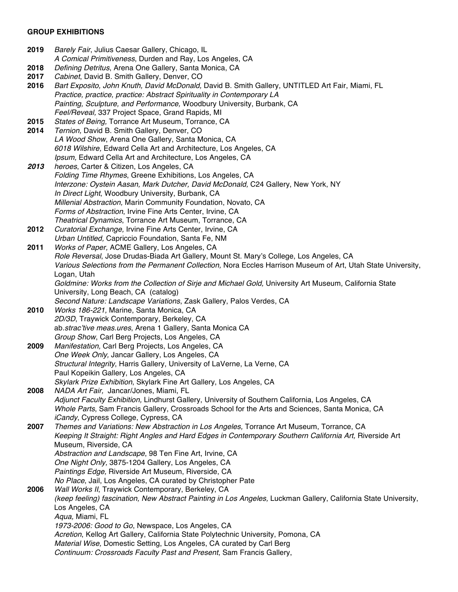# **GROUP EXHIBITIONS**

| 2019 | Barely Fair, Julius Caesar Gallery, Chicago, IL                                                                                                                           |
|------|---------------------------------------------------------------------------------------------------------------------------------------------------------------------------|
|      | A Comical Primitiveness, Durden and Ray, Los Angeles, CA                                                                                                                  |
| 2018 | Defining Detritus, Arena One Gallery, Santa Monica, CA                                                                                                                    |
| 2017 | Cabinet, David B. Smith Gallery, Denver, CO                                                                                                                               |
| 2016 | Bart Exposito, John Knuth, David McDonald, David B. Smith Gallery, UNTITLED Art Fair, Miami, FL<br>Practice, practice, practice: Abstract Spirituality in Contemporary LA |
|      |                                                                                                                                                                           |
|      | Painting, Sculpture, and Performance, Woodbury University, Burbank, CA<br>Feel/Reveal, 337 Project Space, Grand Rapids, MI                                                |
| 2015 | States of Being, Torrance Art Museum, Torrance, CA                                                                                                                        |
| 2014 | Ternion, David B. Smith Gallery, Denver, CO                                                                                                                               |
|      | LA Wood Show, Arena One Gallery, Santa Monica, CA                                                                                                                         |
|      | 6018 Wilshire, Edward Cella Art and Architecture, Los Angeles, CA                                                                                                         |
|      | Ipsum, Edward Cella Art and Architecture, Los Angeles, CA                                                                                                                 |
| 2013 | heroes, Carter & Citizen, Los Angeles, CA                                                                                                                                 |
|      | Folding Time Rhymes, Greene Exhibitions, Los Angeles, CA                                                                                                                  |
|      | Interzone: Oystein Aasan, Mark Dutcher, David McDonald, C24 Gallery, New York, NY                                                                                         |
|      | In Direct Light, Woodbury University, Burbank, CA                                                                                                                         |
|      | Millenial Abstraction, Marin Community Foundation, Novato, CA                                                                                                             |
|      | Forms of Abstraction, Irvine Fine Arts Center, Irvine, CA                                                                                                                 |
|      | Theatrical Dynamics, Torrance Art Museum, Torrance, CA                                                                                                                    |
| 2012 | Curatorial Exchange, Irvine Fine Arts Center, Irvine, CA                                                                                                                  |
|      | Urban Untitled, Capriccio Foundation, Santa Fe, NM                                                                                                                        |
| 2011 | Works of Paper, ACME Gallery, Los Angeles, CA                                                                                                                             |
|      | Role Reversal, Jose Drudas-Biada Art Gallery, Mount St. Mary's College, Los Angeles, CA                                                                                   |
|      | Various Selections from the Permanent Collection, Nora Eccles Harrison Museum of Art, Utah State University,                                                              |
|      | Logan, Utah                                                                                                                                                               |
|      | Goldmine: Works from the Collection of Sirje and Michael Gold, University Art Museum, California State                                                                    |
|      | University, Long Beach, CA (catalog)                                                                                                                                      |
|      | Second Nature: Landscape Variations, Zask Gallery, Palos Verdes, CA                                                                                                       |
| 2010 | Works 186-221, Marine, Santa Monica, CA                                                                                                                                   |
|      | 2D/3D, Traywick Contemporary, Berkeley, CA                                                                                                                                |
|      | ab.strac'tive meas.ures, Arena 1 Gallery, Santa Monica CA                                                                                                                 |
|      | Group Show, Carl Berg Projects, Los Angeles, CA                                                                                                                           |
| 2009 | Manifestation, Carl Berg Projects, Los Angeles, CA                                                                                                                        |
|      | One Week Only, Jancar Gallery, Los Angeles, CA                                                                                                                            |
|      | Structural Integrity, Harris Gallery, University of LaVerne, La Verne, CA                                                                                                 |
|      | Paul Kopeikin Gallery, Los Angeles, CA                                                                                                                                    |
|      | Skylark Prize Exhibition, Skylark Fine Art Gallery, Los Angeles, CA                                                                                                       |
| 2008 | NADA Art Fair, Jancar/Jones, Miami, FL                                                                                                                                    |
|      | Adjunct Faculty Exhibition, Lindhurst Gallery, University of Southern California, Los Angeles, CA                                                                         |
|      | Whole Parts, Sam Francis Gallery, Crossroads School for the Arts and Sciences, Santa Monica, CA                                                                           |
|      | iCandy, Cypress College, Cypress, CA<br>Themes and Variations: New Abstraction in Los Angeles, Torrance Art Museum, Torrance, CA                                          |
| 2007 | Keeping It Straight: Right Angles and Hard Edges in Contemporary Southern California Art, Riverside Art                                                                   |
|      | Museum, Riverside, CA                                                                                                                                                     |
|      | Abstraction and Landscape, 98 Ten Fine Art, Irvine, CA                                                                                                                    |
|      | One Night Only, 3875-1204 Gallery, Los Angeles, CA                                                                                                                        |
|      | Paintings Edge, Riverside Art Museum, Riverside, CA                                                                                                                       |
|      | No Place, Jail, Los Angeles, CA curated by Christopher Pate                                                                                                               |
| 2006 | Wall Works II, Traywick Contemporary, Berkeley, CA                                                                                                                        |
|      | (keep feeling) fascination, New Abstract Painting in Los Angeles, Luckman Gallery, California State University,                                                           |
|      | Los Angeles, CA                                                                                                                                                           |
|      | Aqua, Miami, FL                                                                                                                                                           |
|      | 1973-2006: Good to Go, Newspace, Los Angeles, CA                                                                                                                          |
|      | Acretion, Kellog Art Gallery, California State Polytechnic University, Pomona, CA                                                                                         |
|      | Material Wise, Domestic Setting, Los Angeles, CA curated by Carl Berg                                                                                                     |
|      | Continuum: Crossroads Faculty Past and Present, Sam Francis Gallery,                                                                                                      |
|      |                                                                                                                                                                           |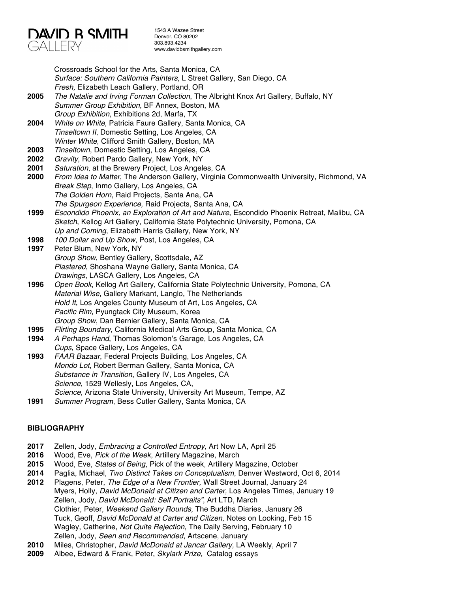

1543 A Wazee Street Denver, CO 80202 303.893.4234 www.davidbsmithgallery.com

Crossroads School for the Arts, Santa Monica, CA *Surface: Southern California Painters*, L Street Gallery, San Diego, CA *Fresh,* Elizabeth Leach Gallery, Portland, OR **2005** *The Natalie and Irving Forman Collection*, The Albright Knox Art Gallery, Buffalo, NY *Summer Group Exhibition*, BF Annex, Boston, MA *Group Exhibition*, Exhibitions 2d, Marfa, TX **2004** *White on White*, Patricia Faure Gallery, Santa Monica, CA *Tinseltown II*, Domestic Setting, Los Angeles, CA *Winter White*, Clifford Smith Gallery, Boston, MA **2003** *Tinseltown*, Domestic Setting, Los Angeles, CA **2002** *Gravity*, Robert Pardo Gallery, New York, NY **2001** *Saturation*, at the Brewery Project, Los Angeles, CA **2000** *From Idea to Matter*, The Anderson Gallery, Virginia Commonwealth University, Richmond, VA *Break Step*, Inmo Gallery, Los Angeles, CA *The Golden Horn*, Raid Projects, Santa Ana, CA *The Spurgeon Experience,* Raid Projects, Santa Ana, CA **1999** *Escondido Phoenix, an Exploration of Art and Nature*, Escondido Phoenix Retreat, Malibu, CA *Sketch*, Kellog Art Gallery, California State Polytechnic University, Pomona, CA *Up and Coming*, Elizabeth Harris Gallery, New York, NY **1998** *100 Dollar and Up Show*, Post, Los Angeles, CA **1997** Peter Blum, New York, NY *Group Show*, Bentley Gallery, Scottsdale, AZ *Plastered*, Shoshana Wayne Gallery, Santa Monica, CA *Drawings*, LASCA Gallery, Los Angeles, CA **1996** *Open Book,* Kellog Art Gallery, California State Polytechnic University, Pomona, CA *Material Wise*, Gallery Markant, Langlo, The Netherlands *Hold It*, Los Angeles County Museum of Art, Los Angeles, CA *Pacific Rim*, Pyungtack City Museum, Korea *Group Show*, Dan Bernier Gallery, Santa Monica, CA **1995** *Flirting Boundary*, California Medical Arts Group, Santa Monica, CA **1994** *A Perhaps Hand*, Thomas Solomon's Garage, Los Angeles, CA *Cups*, Space Gallery, Los Angeles, CA **1993** *FAAR Bazaar*, Federal Projects Building, Los Angeles, CA *Mondo Lot*, Robert Berman Gallery, Santa Monica, CA *Substance in Transition*, Gallery IV, Los Angeles, CA *Science*, 1529 Wellesly, Los Angeles, CA, *Science*, Arizona State University, University Art Museum, Tempe, AZ **1991** *Summer Program*, Bess Cutler Gallery, Santa Monica, CA

#### **BIBLIOGRAPHY**

- **2017** Zellen, Jody, *Embracing a Controlled Entropy,* Art Now LA, April 25
- **2016** Wood, Eve, *Pick of the Week*, Artillery Magazine, March
- **2015** Wood, Eve, *States of Being*, Pick of the week, Artillery Magazine, October
- **2014** Paglia, Michael, *Two Distinct Takes on Conceptualism*, Denver Westword, Oct 6, 2014
- **2012** Plagens, Peter, *The Edge of a New Frontier,* Wall Street Journal, January 24 Myers, Holly, *David McDonald at Citizen and Carter,* Los Angeles Times, January 19 Zellen, Jody, *David McDonald: Self Portraits"*, Art LTD, March Clothier, Peter, *Weekend Gallery Rounds,* The Buddha Diaries, January 26 Tuck, Geoff, *David McDonald at Carter and Citizen,* Notes on Looking, Feb 15 Wagley, Catherine, *Not Quite Rejection*, The Daily Serving, February 10 Zellen, Jody, *Seen and Recommended*, Artscene, January
- **2010** Miles, Christopher, *David McDonald at Jancar Gallery,* LA Weekly, April 7
- **2009** Albee, Edward & Frank, Peter, *Skylark Prize,* Catalog essays